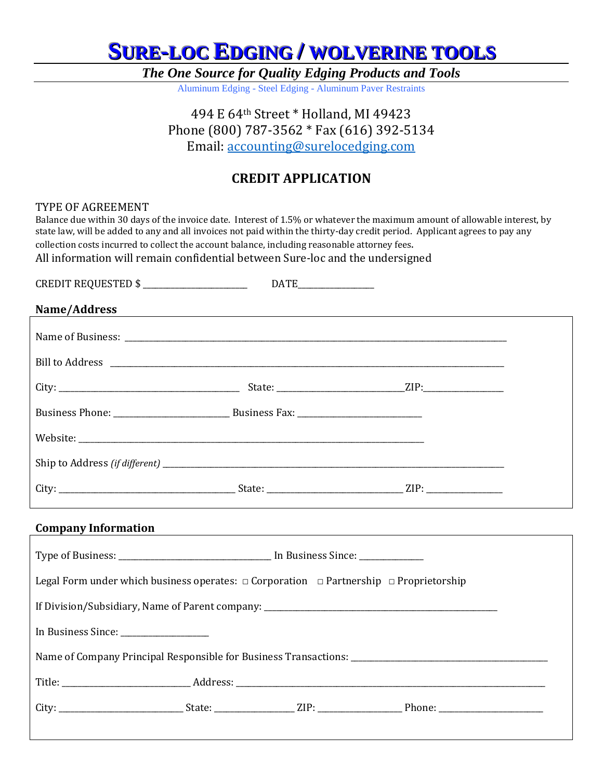*The One Source for Quality Edging Products and Tools*

Aluminum Edging - Steel Edging - Aluminum Paver Restraints

494 E 64th Street \* Holland, MI 49423 Phone (800) 787-3562 \* Fax (616) 392-5134 Email: [accounting@surelocedging.com](mailto:accounting@surelocedging.com)

### **CREDIT APPLICATION**

#### TYPE OF AGREEMENT

Balance due within 30 days of the invoice date. Interest of 1.5% or whatever the maximum amount of allowable interest, by state law, will be added to any and all invoices not paid within the thirty-day credit period. Applicant agrees to pay any collection costs incurred to collect the account balance, including reasonable attorney fees. All information will remain confidential between Sure-loc and the undersigned

CREDIT REQUESTED \$ \_\_\_\_\_\_\_\_\_\_\_\_\_\_\_\_\_\_\_\_\_\_\_\_\_\_ DATE\_\_\_\_\_\_\_\_\_\_\_\_\_\_\_\_\_\_\_ **Name/Address** Name of Business: Bill to Address \_\_\_\_\_\_\_\_\_\_\_\_\_\_\_\_\_\_\_\_\_\_\_\_\_\_\_\_\_\_\_\_\_\_\_\_\_\_\_\_\_\_\_\_\_\_\_\_\_\_\_\_\_\_\_\_\_\_\_\_\_\_\_\_\_\_\_\_\_\_\_\_\_\_\_\_\_\_\_\_\_\_\_\_\_\_\_\_\_\_\_\_\_\_\_\_\_\_ City: \_\_\_\_\_\_\_\_\_\_\_\_\_\_\_\_\_\_\_\_\_\_\_\_\_\_\_\_\_\_\_\_\_\_\_\_\_\_\_\_\_\_\_\_\_ State: \_\_\_\_\_\_\_\_\_\_\_\_\_\_\_\_\_\_\_\_\_\_\_\_\_\_\_\_\_\_\_\_ZIP:\_\_\_\_\_\_\_\_\_\_\_\_\_\_\_\_\_\_\_\_ Business Phone: \_\_\_\_\_\_\_\_\_\_\_\_\_\_\_\_\_\_\_\_\_\_\_\_\_\_\_\_\_ Business Fax: \_\_\_\_\_\_\_\_\_\_\_\_\_\_\_\_\_\_\_\_\_\_\_\_\_\_\_\_\_\_\_ Website: \_\_\_\_\_\_\_\_\_\_\_\_\_\_\_\_\_\_\_\_\_\_\_\_\_\_\_\_\_\_\_\_\_\_\_\_\_\_\_\_\_\_\_\_\_\_\_\_\_\_\_\_\_\_\_\_\_\_\_\_\_\_\_\_\_\_\_\_\_\_\_\_\_\_\_\_\_\_\_\_\_\_\_\_\_\_ Ship to Address *(if different)* \_\_\_\_\_\_\_\_\_\_\_\_\_\_\_\_\_\_\_\_\_\_\_\_\_\_\_\_\_\_\_\_\_\_\_\_\_\_\_\_\_\_\_\_\_\_\_\_\_\_\_\_\_\_\_\_\_\_\_\_\_\_\_\_\_\_\_\_\_\_\_\_\_\_\_\_\_\_\_\_\_\_\_\_\_ City: \_\_\_\_\_\_\_\_\_\_\_\_\_\_\_\_\_\_\_\_\_\_\_\_\_\_\_\_\_\_\_\_\_\_\_\_\_\_\_\_\_\_\_\_ State: \_\_\_\_\_\_\_\_\_\_\_\_\_\_\_\_\_\_\_\_\_\_\_\_\_\_\_\_\_\_\_\_\_\_ ZIP: \_\_\_\_\_\_\_\_\_\_\_\_\_\_\_\_\_\_\_ **Company Information** Type of Business: \_\_\_\_\_\_\_\_\_\_\_\_\_\_\_\_\_\_\_\_\_\_\_\_\_\_\_\_\_\_\_\_\_\_\_\_\_\_ In Business Since: \_\_\_\_\_\_\_\_\_\_\_\_\_\_\_\_ Legal Form under which business operates:  $\Box$  Corporation  $\Box$  Partnership  $\Box$  Proprietorship If Division/Subsidiary, Name of Parent company: In Business Since: Name of Company Principal Responsible for Business Transactions: Title: \_\_\_\_\_\_\_\_\_\_\_\_\_\_\_\_\_\_\_\_\_\_\_\_\_\_\_\_\_\_\_\_ Address: \_\_\_\_\_\_\_\_\_\_\_\_\_\_\_\_\_\_\_\_\_\_\_\_\_\_\_\_\_\_\_\_\_\_\_\_\_\_\_\_\_\_\_\_\_\_\_\_\_\_\_\_\_\_\_\_\_\_\_\_\_\_\_\_\_\_\_\_\_\_\_\_\_\_\_\_\_ City: \_\_\_\_\_\_\_\_\_\_\_\_\_\_\_\_\_\_\_\_\_\_\_\_\_\_\_\_\_\_\_ State: \_\_\_\_\_\_\_\_\_\_\_\_\_\_\_\_\_\_\_\_ ZIP: \_\_\_\_\_\_\_\_\_\_\_\_\_\_\_\_\_\_\_\_\_ Phone: \_\_\_\_\_\_\_\_\_\_\_\_\_\_\_\_\_\_\_\_\_\_\_\_\_\_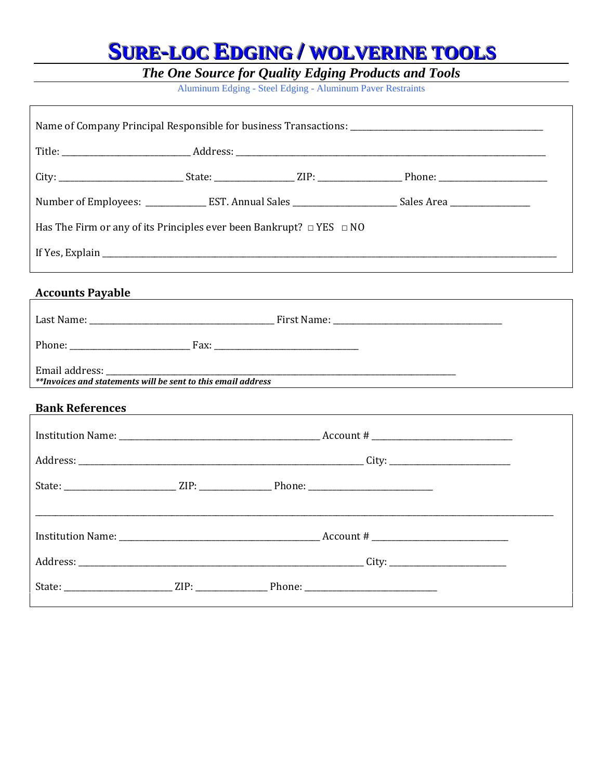**The One Source for Quality Edging Products and Tools**<br>Aluminum Edging - Steel Edging - Aluminum Paver Restraints

|  |  | **Invoices and statements will be sent to this email address | Has The Firm or any of its Principles ever been Bankrupt? $\Box$ YES $\Box$ NO | Number of Employees: _______________EST. Annual Sales __________________________Sales Area __________________<br><u> 1989 - Johann John Stein, mars an deus Frankrik (f. 1989)</u><br><u> 1989 - Johann Stein, mars an deutscher Stein und der Stein und der Stein und der Stein und der Stein und der</u><br>,我们也不会有什么。""我们的人,我们也不会有什么?""我们的人,我们也不会有什么?""我们的人,我们也不会有什么?""我们的人,我们也不会有什么?""我们的人 |  |  |  |
|--|--|--------------------------------------------------------------|--------------------------------------------------------------------------------|------------------------------------------------------------------------------------------------------------------------------------------------------------------------------------------------------------------------------------------------------------------------------------------------------------------------------------------------------------------------------------------------|--|--|--|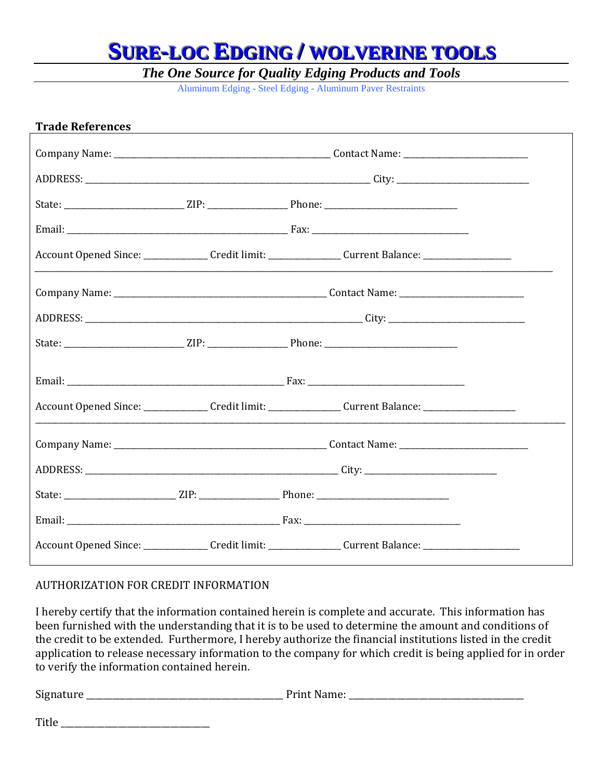*The One Source for Quality Edging Products and Tools*

Aluminum Edging - Steel Edging - Aluminum Paver Restraints

| <b>Trade References</b>                                                                                       |  | <u> 1989 - Johann Barbara, martxa alemaniar arg</u> |  |
|---------------------------------------------------------------------------------------------------------------|--|-----------------------------------------------------|--|
|                                                                                                               |  |                                                     |  |
|                                                                                                               |  |                                                     |  |
|                                                                                                               |  |                                                     |  |
|                                                                                                               |  |                                                     |  |
| Account Opened Since: _______________Credit limit: ___________________Current Balance: ______________________ |  |                                                     |  |
|                                                                                                               |  |                                                     |  |
|                                                                                                               |  |                                                     |  |
|                                                                                                               |  |                                                     |  |
|                                                                                                               |  |                                                     |  |
| Account Opened Since: ________________Credit limit: _________________Current Balance: _______________________ |  |                                                     |  |
|                                                                                                               |  |                                                     |  |
|                                                                                                               |  |                                                     |  |
|                                                                                                               |  |                                                     |  |
|                                                                                                               |  |                                                     |  |
| Account Opened Since: _______________ Credit limit: _______________ Current Balance: ________________________ |  |                                                     |  |

#### AUTHORIZATION FOR CREDIT INFORMATION

I hereby certify that the information contained herein is complete and accurate. This information has been furnished with the understanding that it is to be used to determine the amount and conditions of the credit to be extended. Furthermore, I hereby authorize the financial institutions listed in the credit application to release necessary information to the company for which credit is being applied for in order to verify the information contained herein.

Signature **Example 2.2 Signature Print Name:**  $P$ 

Title  $\Box$